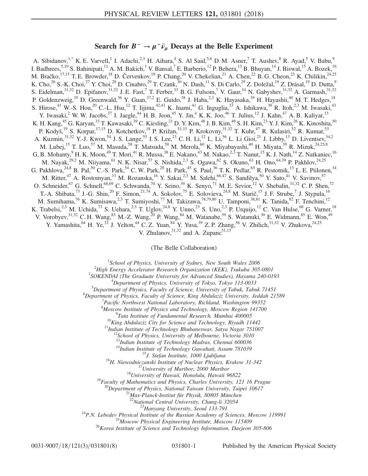## Search for  $B^- \to \mu^- \bar{\nu}_\mu$  Decays at the Belle Experiment

<span id="page-0-0"></span>A. Sibidanov,<sup>1[,\\*](#page-6-0)</sup> K. E. Varvell,<sup>1</sup> I. Adachi,<sup>2,3</sup> H. Aihara,<sup>4</sup> S. Al Said,<sup>5,6</sup> D. M. Asner,<sup>7</sup> T. Aushev,<sup>8</sup> R. Ayad,<sup>5</sup> V. Babu,<sup>9</sup> I. Badhrees,  $5,10$  S. Bahinipati,  $11$  A. M. Bakich, <sup>1</sup> V. Bansal, <sup>7</sup> E. Barberio,  $12$  P. Behera,  $13$  B. Bhuyan,  $14$  J. Biswal,  $15$  A. Bozek,  $16$ M. Bračko,<sup>17,15</sup> T. E. Browder,<sup>18</sup> D. Červenkov,<sup>19</sup> P. Chang,<sup>20</sup> V. Chekelian,<sup>21</sup> A. Chen,<sup>22</sup> B. G. Cheon,<sup>23</sup> K. Chilikin,<sup>24,25</sup> K. Cho,<sup>26</sup> S.-K. Choi,<sup>27</sup> Y. Choi,<sup>28</sup> D. Cinabro,<sup>29</sup> T. Czank,<sup>30</sup> N. Dash,<sup>11</sup> S. Di Carlo,<sup>29</sup> Z. Doležal,<sup>19</sup> Z. Drásal,<sup>19</sup> D. Dutta,<sup>9</sup> S. Eidelman,<sup>31,32</sup> D. Epifanov,<sup>31,32</sup> J. E. Fast,<sup>7</sup> T. Ferber,<sup>33</sup> B. G. Fulsom,<sup>7</sup> V. Gaur,<sup>34</sup> N. Gabyshev,<sup>31,32</sup> A. Garmash,<sup>31,32</sup> P. Goldenzweig,<sup>35</sup> D. Greenwald,<sup>36</sup> Y. Guan,<sup>37,2</sup> E. Guido,<sup>38</sup> J. Haba,<sup>2,3</sup> K. Hayasaka,<sup>39</sup> H. Hayashii,<sup>40</sup> M. T. Hedges,<sup>18</sup> S. Hirose,<sup>41</sup> W.-S. Hou,<sup>20</sup> C.-L. Hsu,<sup>12</sup> T. Iijima,<sup>42,41</sup> K. Inami,<sup>41</sup> G. Inguglia,<sup>33</sup> A. Ishikawa,<sup>30</sup> R. Itoh,<sup>2,3</sup> M. Iwasaki,<sup>43</sup> Y. Iwasaki,<sup>2</sup> W. W. Jacobs,<sup>37</sup> I. Jaegle,<sup>44</sup> H. B. Jeon,<sup>45</sup> Y. Jin,<sup>4</sup> K. K. Joo,<sup>46</sup> T. Julius,<sup>12</sup> J. Kahn,<sup>47</sup> A. B. Kaliyar,<sup>13</sup> K. H. Kang,  $^{45}$  G. Karyan,  $^{33}$  T. Kawasaki,  $^{39}$  C. Kiesling,  $^{21}$  D. Y. Kim,  $^{48}$  J. B. Kim,  $^{49}$  S. H. Kim,  $^{23}$  Y. J. Kim,  $^{26}$  K. Kinoshita,  $^{50}$ P. Kodyš,<sup>19</sup> S. Korpar,<sup>17,15</sup> D. Kotchetkov,<sup>18</sup> P. Križan,<sup>51,15</sup> P. Krokovny,<sup>31,32</sup> T. Kuhr,<sup>47</sup> R. Kulasiri,<sup>52</sup> R. Kumar,<sup>53</sup> A. Kuzmin,<sup>31,32</sup> Y.-J. Kwon,<sup>54</sup> J. S. Lange,<sup>55</sup> I. S. Lee,<sup>23</sup> C. H. Li,<sup>12</sup> L. Li,<sup>56</sup> L. Li Gioi,<sup>21</sup> J. Libby,<sup>13</sup> D. Liventsev,<sup>34,2</sup> M. Lubej,<sup>15</sup> T. Luo,<sup>57</sup> M. Masuda,<sup>58</sup> T. Matsuda,<sup>59</sup> M. Merola,<sup>60</sup> K. Miyabayashi,<sup>40</sup> H. Miyata,<sup>39</sup> R. Mizuk,<sup>24,25,8</sup> G. B. Mohanty,  $9$  H. K. Moon,  $49$  T. Mori,  $41$  R. Mussa,  $38$  E. Nakano,  $43$  M. Nakao,  $2,3$  T. Nanut,  $15$  K. J. Nath,  $14$  Z. Natkaniec,  $16$ M. Nayak,<sup>29,2</sup> M. Niiyama,<sup>61</sup> N. K. Nisar,<sup>57</sup> S. Nishida,<sup>2,3</sup> S. Ogawa,<sup>62</sup> S. Okuno,<sup>63</sup> H. Ono,<sup>64,39</sup> P. Pakhlov,<sup>24,25</sup> G. Pakhlova,<sup>24,8</sup> B. Pal,<sup>50</sup> C.-S. Park,<sup>54</sup> C. W. Park,<sup>28</sup> H. Park,<sup>45</sup> S. Paul,<sup>36</sup> T. K. Pedlar,<sup>65</sup> R. Pestotnik,<sup>15</sup> L. E. Piilonen,<sup>34</sup> M. Ritter,<sup>47</sup> A. Rostomyan,<sup>33</sup> M. Rozanska,<sup>16</sup> Y. Sakai,<sup>2,3</sup> M. Salehi,<sup>66,47</sup> S. Sandilya,<sup>50</sup> Y. Sato,<sup>41</sup> V. Savinov,<sup>57</sup> O. Schneider, <sup>67</sup> G. Schnell, <sup>68,69</sup> C. Schwanda, <sup>70</sup> Y. Seino, <sup>39</sup> K. Senyo, <sup>71</sup> M. E. Sevior, <sup>12</sup> V. Shebalin, <sup>31,32</sup> C. P. Shen, <sup>72</sup> T.-A. Shibata,<sup>73</sup> J.-G. Shiu,<sup>20</sup> F. Simon,<sup>21,74</sup> A. Sokolov,<sup>75</sup> E. Solovieva,<sup>24,8</sup> M. Starič,<sup>15</sup> J. F. Strube,<sup>7</sup> J. Stypula,<sup>16</sup> M. Sumihama,<sup>76</sup> K. Sumisawa,<sup>2,3</sup> T. Sumiyoshi,<sup>77</sup> M. Takizawa,<sup>78,79,80</sup> U. Tamponi,<sup>38,81</sup> K. Tanida,<sup>82</sup> F. Tenchini,<sup>12</sup> K. Trabelsi,<sup>2,3</sup> M. Uchida,<sup>73</sup> S. Uehara,<sup>2,3</sup> T. Uglov,<sup>24,8</sup> Y. Unno,<sup>23</sup> S. Uno,<sup>2,3</sup> P. Urquijo,<sup>12</sup> C. Van Hulse,<sup>68</sup> G. Varner,<sup>18</sup> V. Vorobyev,  $31,32$  C. H. Wang,  $83$  M.-Z. Wang,  $20$  P. Wang,  $84$  M. Watanabe,  $39$  S. Watanuki,  $30$  E. Widmann,  $85$  E. Won,  $49$ Y. Yamashita, <sup>64</sup> H. Ye, <sup>33</sup> J. Yelton, <sup>44</sup> C. Z. Yuan, <sup>84</sup> Y. Yusa, <sup>39</sup> Z. P. Zhang, <sup>56</sup> V. Zhilich, <sup>31, 32</sup> V. Zhukova, <sup>24, 25</sup> V. Zhulanov,  $3^{1,32}$  and A. Zupanc $5^{1,15}$ 

(The Belle Collaboration)

<sup>1</sup>School of Physics, University of Sydney, New South Wales 2006<sup>2</sup> High Engry Asselution Bessexuel Operation (KEK) Taylorks 205

 $^{2}$ High Energy Accelerator Research Organization (KEK), Tsukuba 305-0801

<sup>3</sup>SOKENDAI (The Graduate University for Advanced Studies), Hayama 240-0193

 $^{4}$ Department of Physics, University of Tokyo, Tokyo 113-0033

 ${}^{5}$ Department of Physics, Faculty of Science, University of Tabuk, Tabuk 71451

<sup>6</sup>Department of Physics, Faculty of Science, King Abdulaziz University, Jeddah 21589

Pacific Northwest National Laboratory, Richland, Washington 99352

<sup>8</sup>Moscow Institute of Physics and Technology, Moscow Region 141700

<sup>9</sup>Tata Institute of Fundamental Research, Mumbai 400005<br><sup>10</sup>King Abdulaziz City for Science and Technology, Riyadh 11442<br><sup>11</sup>Indian Institute of Technology Bhubaneswar, Satya Nagar 751007<br><sup>12</sup>School of Physics, Universit

<sup>14</sup>Indian Institute of Technology Guwahati, Assam 781039<br><sup>15</sup>J. Stefan Institute, 1000 Ljubljana<br><sup>16</sup>H. Niewodniczanski Institute of Nuclear Physics, Krakow 31-342<br><sup>17</sup>University of Maribor, 2000 Maribor<br><sup>18</sup>University o

<sup>20</sup>Department of Physics, National Taiwan University, Taipei 10617<br><sup>21</sup>Max-Planck-Institut für Physik, 80805 München

<sup>22</sup>National Central University, Chung-li 32054<br><sup>23</sup>Hanyang University, Seoul 133-791<br><sup>24</sup>P.N. Lebedev Physical Institute of the Russian Academy of Sciences, Moscow 119991<br><sup>26</sup>Moscow Physical Engineering Institute, Moscow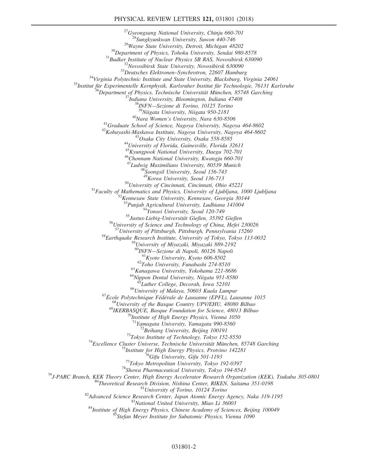## PHYSICAL REVIEW LETTERS 121, 031801 (2018)

 $\begin{tabular}{c} $^{27}$Gyeongsang National University, Chiniu 660-701$ \\ $^{28}$Sungkyunkwan University, Stuvon 440-746$ \\ $^{29}$Wayne State University, Detroit, Michicing 48202$ \\ $^{30}Department of Physics, Tohoku University, Sendai 980-8578$ \\ $^{31}Budker Institute of Nuclear Physics SB RAS, Novosibirsk 630090$ \\ $^{32}Dewstobries State University, Novosibirsk 630090$ \\ $^{33}Deutsches Elektronen-Syuchor, 22607 Hamburg\\ $^{34}Virginia Polytechnic Institute and State University, Blacksburg, Virginia 24061$$ 46 Chonnam National University, Kwangju 660-701 <sup>47</sup>Ludwig Maximilians University, 80539 Munich<br> $48$ Soongsil University, Seoul 156-743<br> $49$ Korea University, Seoul 136-713 <sup>50</sup>University of Cincinnati, Cincinnati, Ohio 45221<br>
<sup>51</sup>Faculty of Mathematics and Physics, University of Ljubljana, 1000 Ljubljana<br>
<sup>52</sup>Kennesaw State University, Kennesaw, Georgia 30144<br>
<sup>53</sup>Punjab Agricultural Univer <sup>55</sup>Justus-Liebig-University, Seoul 120-749<br><sup>55</sup>Justus-Liebig-Universität Gießen, 35392 Gießen<br><sup>56</sup>University of Science and Technology of China, Hefei 230026<br><sup>57</sup>University of Pittsburgh, Pittsburgh, Pennsylvania 15260 58 Earthquake Research Institute, University of Tokyo, Tokyo 113-0032 <sup>59</sup>University of Miyazaki, Miyazaki 889-2192<br><sup>60</sup>INFN—Sezione di Napoli, 80126 Napoli <sup>61</sup>Kyoto University, Kyoto 606-8502<br><sup>62</sup>Toho University, Funabashi 274-8510<br><sup>63</sup>Kanagawa University, Yokohama 221-8686<br><sup>64</sup>Nippon Dental University, Niigata 951-8580<br><sup>65</sup>Luther College, Decorah, Iowa 52101 <sup>67</sup>École Polytechnique Fédérale de Lausanne (EPFL), Lausanne 1015<br><sup>67</sup>École Polytechnique Fédérale de Lausanne (EPFL), Lausanne 1015<br><sup>68</sup>University of the Basque Country UPV/EHU, 48080 Bilbao <sup>69</sup>IKERBASQUE, Basque Foundation for Science, 48013 Bilbao<br><sup>70</sup>Institute of High Energy Physics, Vienna 1050<br><sup>71</sup>Yamagata University, Yamagata 990-8560 <sup>71</sup>Yamagata University, Yamagata 990-8560<br>
<sup>72</sup>Beihang University, Beijing 100191<br>
<sup>73</sup>Tokyo Institute of Technology, Tokyo 152-8550<br>
<sup>74</sup>Excellence Cluster Universe, Technische Universität München, 85748 Garching<br>
<sup>75</sup>I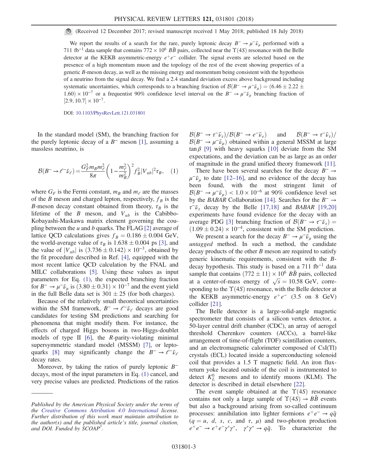(Received 12 December 2017; revised manuscript received 1 May 2018; published 18 July 2018)

We report the results of a search for the rare, purely leptonic decay  $B^{-} \to \mu^{-} \bar{\nu}_{\mu}$  performed with a 711 fb<sup>-1</sup> data sample that contains 772 × 10<sup>6</sup>  $B\bar{B}$  pairs, collected near the  $\Upsilon(4S)$  resonance with the Belle detector at the KEKB asymmetric-energy  $e^+e^-$  collider. The signal events are selected based on the presence of a high momentum muon and the topology of the rest of the event showing properties of a generic B-meson decay, as well as the missing energy and momentum being consistent with the hypothesis of a neutrino from the signal decay. We find a 2.4 standard deviation excess above background including systematic uncertainties, which corresponds to a branching fraction of  $\mathcal{B}(B^- \to \mu^- \bar{\nu}_\mu) = (6.46 \pm 2.22 \pm 0.000)$ 1.60)  $\times$  10<sup>-7</sup> or a frequentist 90% confidence level interval on the B<sup>-</sup> →  $\mu$ <sup>-</sup> $\bar{\nu}_{\mu}$  branching fraction of  $[2.9, 10.7] \times 10^{-7}$ .

DOI: [10.1103/PhysRevLett.121.031801](https://doi.org/10.1103/PhysRevLett.121.031801)

<span id="page-2-0"></span>In the standard model (SM), the branching fraction for the purely leptonic decay of a  $B^-$  meson [\[1\]](#page-6-1), assuming a massless neutrino, is

$$
\mathcal{B}(B^{-} \to \ell^{-} \bar{\nu}_{\ell}) = \frac{G_{F}^{2} m_{B} m_{\ell}^{2}}{8\pi} \left( 1 - \frac{m_{\ell}^{2}}{m_{B}^{2}} \right)^{2} f_{B}^{2} |V_{ub}|^{2} \tau_{B}, \quad (1)
$$

where  $G_F$  is the Fermi constant,  $m_B$  and  $m_\ell$  are the masses of the B meson and charged lepton, respectively,  $f_B$  is the B-meson decay constant obtained from theory,  $\tau_B$  is the lifetime of the B meson, and  $V_{ub}$  is the Cabibbo-Kobayashi-Maskawa matrix element governing the coupling between the  $u$  and  $b$  quarks. The FLAG [\[2\]](#page-6-2) average of lattice QCD calculations gives  $f_B = 0.186 \pm 0.004$  GeV, the world-average value of  $\tau_B$  is  $1.638 \pm 0.004$  ps [\[3\]](#page-6-3), and the value of  $|V_{ub}|$  is  $(3.736 \pm 0.142) \times 10^{-3}$ , obtained by the fit procedure described in Ref. [\[4\]](#page-6-4), equipped with the most recent lattice QCD calculation by the FNAL and MILC collaborations [\[5\]](#page-6-5). Using these values as input parameters for Eq. [\(1\),](#page-2-0) the expected branching fraction for  $B^- \to \mu^- \bar{\nu}_\mu$  is  $(3.80 \pm 0.31) \times 10^{-7}$  and the event yield in the full Belle data set is  $301 \pm 25$  (for both charges).

Because of the relatively small theoretical uncertainties within the SM framework,  $B^- \rightarrow \ell^- \bar{\nu}_\ell$  decays are good candidates for testing SM predictions and searching for phenomena that might modify them. For instance, the effects of charged Higgs bosons in two-Higgs-doublet models of type  $II$  [\[6\]](#page-6-6), the *R*-parity-violating minimal supersymmetric standard model (MSSM) [\[7\],](#page-6-7) or lepto-quarks [\[8\]](#page-6-8) may significantly change the  $B^- \rightarrow \ell^- \bar{\nu}_{\ell}$ decay rates.

Moreover, by taking the ratios of purely leptonic  $B^$ decays, most of the input parameters in Eq. [\(1\)](#page-2-0) cancel, and very precise values are predicted. Predictions of the ratios  $\mathcal{B}(B^- \to \tau^- \bar{\nu}_\tau)/\mathcal{B}(B^- \to e^- \bar{\nu}_e)$  and  $\mathcal{B}(B^- \to \tau^- \bar{\nu}_\tau)/\mathcal{B}(B^- \to e^- \bar{\nu}_e)$  $\mathcal{B}(B^- \to \mu^- \bar{\nu}_\mu)$  obtained within a general MSSM at large  $\tan \beta$  [\[9\]](#page-6-9) with heavy squarks [\[10\]](#page-6-10) deviate from the SM expectations, and the deviation can be as large as an order of magnitude in the grand unified theory framework [\[11\]](#page-6-11).

There have been several searches for the decay  $B^- \rightarrow$  $\mu^-\bar{\nu}_\mu$  to date [\[12](#page-6-12)–16], and no evidence of the decay has been found, with the most stringent limit of  $B(B^{-} \rightarrow \mu^{-} \bar{\nu}_{\mu}) < 1.0 \times 10^{-6}$  at 90% confidence level set by the BABAR Collaboration [\[14\].](#page-6-13) Searches for the  $B^- \rightarrow$  $\tau^-\bar{\nu}_{\tau}$  decay by the Belle [\[17,18\]](#page-6-14) and BABAR [\[19,20\]](#page-6-15) experiments have found evidence for the decay with an average PDG [\[3\]](#page-6-3) branching fraction of  $\mathcal{B}(B^- \to \tau^- \bar{\nu}_\tau)$  =  $(1.09 \pm 0.24) \times 10^{-4}$ , consistent with the SM prediction.

We present a search for the decay  $B^- \to \mu^- \bar{\nu}_\mu$  using the untagged method. In such a method, the candidate decay products of the other  $B$  meson are required to satisfy generic kinematic requirements, consistent with the Bdecay hypothesis. This study is based on a  $711$  fb<sup>-1</sup> data sample that contains  $(772 \pm 11) \times 10^6$  BB pairs, collected at a center-of-mass energy of  $\sqrt{s} = 10.58$  GeV, corresponding to the  $\Upsilon(4S)$  resonance, with the Belle detector at the KEKB asymmetric-energy  $e^+e^-$  (3.5 on 8 GeV) collider [\[21\]](#page-6-16).

The Belle detector is a large-solid-angle magnetic spectrometer that consists of a silicon vertex detector, a 50-layer central drift chamber (CDC), an array of aerogel threshold Cherenkov counters (ACCs), a barrel-like arrangement of time-of-flight (TOF) scintillation counters, and an electromagnetic calorimeter composed of CsI(Tl) crystals (ECL) located inside a superconducting solenoid coil that provides a 1.5 T magnetic field. An iron fluxreturn yoke located outside of the coil is instrumented to detect  $K_L^0$  mesons and to identify muons (KLM). The detector is described in detail elsewhere [\[22\]](#page-7-0).

The event sample obtained at the  $\Upsilon(4S)$  resonance contains not only a large sample of  $\Upsilon(4S) \rightarrow B\bar{B}$  events but also a background arising from so-called continuum processes: annihilation into lighter fermions  $e^+e^- \rightarrow q\bar{q}$  $(q = u, d, s, c, \text{ and } \tau, \mu)$  and two-photon production  $e^+e^- \rightarrow e^+e^-\gamma^*\gamma^*$ ,  $\gamma^*\gamma^* \rightarrow q\bar{q}$ . To characterize the

Published by the American Physical Society under the terms of the [Creative Commons Attribution 4.0 International](https://creativecommons.org/licenses/by/4.0/) license. Further distribution of this work must maintain attribution to the author(s) and the published article's title, journal citation, and DOI. Funded by SCOAP<sup>3</sup>.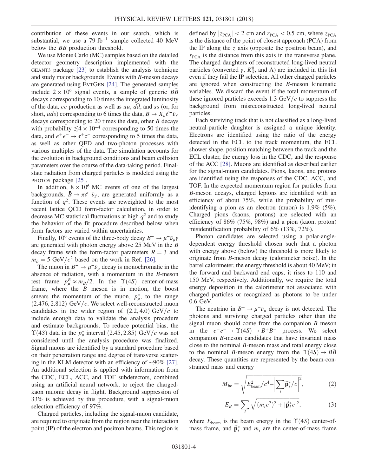contribution of these events in our search, which is substantial, we use a 79 fb<sup>-1</sup> sample collected 40 MeV below the  $B\bar{B}$  production threshold.

We use Monte Carlo (MC) samples based on the detailed detector geometry description implemented with the GEANT3 package [\[23\]](#page-7-1) to establish the analysis technique and study major backgrounds. Events with B-meson decays are generated using EVTGEN [\[24\]](#page-7-2). The generated samples include  $2 \times 10^6$  signal events, a sample of generic  $B\bar{B}$ decays corresponding to 10 times the integrated luminosity of the data,  $c\bar{c}$  production as well as  $u\bar{u}$ , dd, and  $s\bar{s}$  (or, for short, uds) corresponding to 6 times the data,  $B \to X_u \ell^- \bar{\nu}_\ell$ decays corresponding to 20 times the data, other B decays with probability  $\leq 4 \times 10^{-4}$  corresponding to 50 times the data, and  $e^+e^- \rightarrow \tau^+\tau^-$  corresponding to 5 times the data, as well as other QED and two-photon processes with various multiples of the data. The simulation accounts for the evolution in background conditions and beam collision parameters over the course of the data-taking period. Finalstate radiation from charged particles is modeled using the PHOTOS package [\[25\].](#page-7-3)

In addition,  $8 \times 10^6$  MC events of one of the largest backgrounds,  $\bar{B} \to \pi \ell^- \bar{\nu}_\ell$ , are generated uniformly as a function of  $q^2$ . These events are reweighted to the most recent lattice QCD form-factor calculation, in order to decrease MC statistical fluctuations at high  $q^2$  and to study the behavior of the fit procedure described below when form factors are varied within uncertainties.

Finally, 10<sup>6</sup> events of the three-body decay  $B^- \rightarrow \mu^- \bar{\nu}_\mu \gamma$ are generated with photon energy above 25 MeV in the B decay frame with the form-factor parameters  $R = 3$  and  $m_b = 5 \text{ GeV}/c^2$  based on the work in Ref. [\[26\]](#page-7-4).

The muon in  $B^- \to \mu^- \bar{\nu}_\mu$  decay is monochromatic in the absence of radiation, with a momentum in the B-meson rest frame  $p_{\mu}^{B} \approx m_{B}/2$ . In the  $\Upsilon(4S)$  center-of-mass frame, where the  $B$  meson is in motion, the boost smears the momentum of the muon,  $p^*_{\mu}$ , to the range  $(2.476, 2.812)$  GeV/c. We select well-reconstructed muon candidates in the wider region of  $(2.2, 4.0)$  GeV/c to include enough data to validate the analysis procedure and estimate backgrounds. To reduce potential bias, the  $\Upsilon(4S)$  data in the  $p^*_{\mu}$  interval (2.45, 2.85) GeV/c was not considered until the analysis procedure was finalized. Signal muons are identified by a standard procedure based on their penetration range and degree of transverse scattering in the KLM detector with an efficiency of ∼90% [\[27\]](#page-7-5). An additional selection is applied with information from the CDC, ECL, ACC, and TOF subdetectors, combined using an artificial neural network, to reject the chargedkaon muonic decay in flight. Background suppression of 33% is achieved by this procedure, with a signal-muon selection efficiency of 97%.

Charged particles, including the signal-muon candidate, are required to originate from the region near the interaction point (IP) of the electron and positron beams. This region is defined by  $|z_{PCA}| < 2$  cm and  $r_{PCA} < 0.5$  cm, where  $z_{PCA}$ is the distance of the point of closest approach (PCA) from the IP along the  $z$  axis (opposite the positron beam), and  $r_{PCA}$  is the distance from this axis in the transverse plane. The charged daughters of reconstructed long-lived neutral particles (converted  $\gamma$ ,  $K_S^0$ , and  $\Lambda$ ) are included in this list even if they fail the IP selection. All other charged particles are ignored when constructing the B-meson kinematic variables. We discard the event if the total momentum of these ignored particles exceeds 1.3 GeV/ $c$  to suppress the background from misreconstructed long-lived neutral particles.

Each surviving track that is not classified as a long-lived neutral-particle daughter is assigned a unique identity. Electrons are identified using the ratio of the energy detected in the ECL to the track momentum, the ECL shower shape, position matching between the track and the ECL cluster, the energy loss in the CDC, and the response of the ACC [\[28\].](#page-7-6) Muons are identified as described earlier for the signal-muon candidates. Pions, kaons, and protons are identified using the responses of the CDC, ACC, and TOF. In the expected momentum region for particles from B-meson decays, charged leptons are identified with an efficiency of about 75%, while the probability of misidentifying a pion as an electron (muon) is 1.9% (5%). Charged pions (kaons, protons) are selected with an efficiency of 86% (75%, 98%) and a pion (kaon, proton) misidentification probability of 6% (13%, 72%).

Photon candidates are selected using a polar-angledependent energy threshold chosen such that a photon with energy above (below) the threshold is more likely to originate from B-meson decay (calorimeter noise). In the barrel calorimeter, the energy threshold is about 40 MeV; in the forward and backward end caps, it rises to 110 and 150 MeV, respectively. Additionally, we require the total energy deposition in the calorimeter not associated with charged particles or recognized as photons to be under 0.6 GeV.

The neutrino in  $B^- \to \mu^- \bar{\nu}_\mu$  decay is not detected. The photons and surviving charged particles other than the signal muon should come from the companion  $B$  meson in the  $e^+e^- \rightarrow \Upsilon(4S) \rightarrow B^+B^-$  process. We select companion B-meson candidates that have invariant mass close to the nominal B-meson mass and total energy close to the nominal B-meson energy from the  $\Upsilon(4S) \rightarrow BB$ decay. These quantities are represented by the beam-constrained mass and energy

$$
M_{\rm bc} = \sqrt{E_{\rm beam}^2/c^4 - \left|\sum_i \vec{\mathbf{p}}_i^* / c\right|^2},\tag{2}
$$

$$
E_B = \sum_i \sqrt{(m_i c^2)^2 + |\vec{\mathbf{p}}_i^* c|^2},\tag{3}
$$

where  $E_{\text{beam}}$  is the beam energy in the  $\Upsilon(4S)$  center-ofmass frame, and  $\vec{p}_i^*$  and  $m_i$  are the center-of-mass frame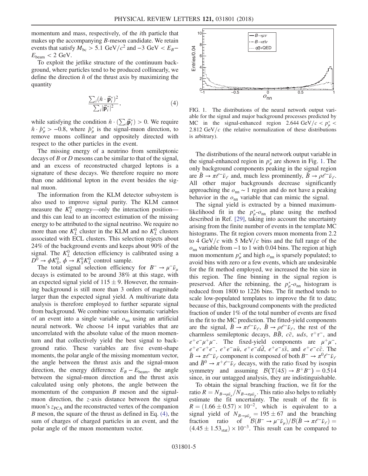momentum and mass, respectively, of the ith particle that makes up the accompanying  $B$ -meson candidate. We retain events that satisfy  $M_{bc} > 5.1 \text{ GeV}/c^2$  and  $-3 \text{ GeV} < E_B E_{\text{beam}} < 2 \text{ GeV}.$ 

<span id="page-4-0"></span>To exploit the jetlike structure of the continuum background, where particles tend to be produced collinearly, we define the direction  $\hat{n}$  of the thrust axis by maximizing the quantity

$$
\frac{\sum_{i} (\hat{\boldsymbol{n}} \cdot \vec{\mathbf{p}}_{i}^{*})^{2}}{\sum_{i} |\vec{\mathbf{p}}_{i}^{*}|^{2}},
$$
\n(4)

while satisfying the condition  $\hat{n} \cdot (\sum_i \vec{p}_i^*) > 0$ . We require  $\hat{n} \cdot \hat{p}^*_{\mu} > -0.8$ , where  $\hat{p}^*_{\mu}$  is the signal-muon direction, to remove muons collinear and oppositely directed with respect to the other particles in the event.

The missing energy of a neutrino from semileptonic decays of B or D mesons can be similar to that of the signal, and an excess of reconstructed charged leptons is a signature of these decays. We therefore require no more than one additional lepton in the event besides the signal muon.

The information from the KLM detector subsystem is also used to improve signal purity. The KLM cannot measure the  $K_L^0$  energy—only the interaction position and this can lead to an incorrect estimation of the missing energy to be attributed to the signal neutrino. We require no more than one  $K_L^0$  cluster in the KLM and no  $K_L^0$  clusters associated with ECL clusters. This selection rejects about 24% of the background events and keeps about 90% of the signal. The  $K_L^0$  detection efficiency is calibrated using a  $\overline{D^0} \rightarrow \phi K_S^0$ ,  $\phi \rightarrow K_S^0 K_L^0$  control sample.

The total signal selection efficiency for  $B^- \to \mu^- \bar{\nu}_\mu$ decays is estimated to be around 38% at this stage, with an expected signal yield of  $115 \pm 9$ . However, the remaining background is still more than 3 orders of magnitude larger than the expected signal yield. A multivariate data analysis is therefore employed to further separate signal from background. We combine various kinematic variables of an event into a single variable  $o_{nn}$  using an artificial neural network. We choose 14 input variables that are uncorrelated with the absolute value of the muon momentum and that collectively yield the best signal to background ratio. These variables are five event-shape moments, the polar angle of the missing momentum vector, the angle between the thrust axis and the signal-muon direction, the energy difference  $E_B - E_{\text{beam}}$ , the angle between the signal-muon direction and the thrust axis calculated using only photons, the angle between the momentum of the companion  $B$  meson and the signalmuon direction, the z-axis distance between the signal muon's  $z<sub>PCA</sub>$  and the reconstructed vertex of the companion B meson, the square of the thrust as defined in Eq. [\(4\),](#page-4-0) the sum of charges of charged particles in an event, and the polar angle of the muon momentum vector.

<span id="page-4-1"></span>

FIG. 1. The distributions of the neural network output variable for the signal and major background processes predicted by MC in the signal-enhanced region 2.644 GeV/ $c < p^*_{\mu}$ 2.812 GeV/ $c$  (the relative normalization of these distributions is arbitrary).

The distributions of the neural network output variable in the signal-enhanced region in  $p^*_{\mu}$  are shown in Fig. [1](#page-4-1). The only background components peaking in the signal region are  $B \to \pi \ell^- \bar{\nu}_\ell$  and, much less prominently,  $B \to \rho \ell^- \bar{\nu}_\ell$ . All other major backgrounds decrease significantly approaching the  $o_{nn} \sim 1$  region and do not have a peaking behavior in the  $o_{nn}$  variable that can mimic the signal.

The signal yield is extracted by a binned maximumlikelihood fit in the  $p_{\mu}^{*}$ - $o_{nn}$  plane using the method described in Ref. [\[29\]](#page-7-7), taking into account the uncertainty arising from the finite number of events in the template MC histograms. The fit region covers muon momenta from 2.2 to 4 GeV/c with 5 MeV/c bins and the full range of the  $o<sub>nn</sub>$  variable from  $-1$  to 1 with 0.04 bins. The region at high muon momentum  $p^*_{\mu}$  and high  $o_{nn}$  is sparsely populated; to avoid bins with zero or a few events, which are undesirable for the fit method employed, we increased the bin size in this region. The fine binning in the signal region is preserved. After the rebinning, the  $p_{\mu}^{*}$ - $o_{nn}$  histogram is reduced from 1800 to 1226 bins. The fit method tends to scale low-populated templates to improve the fit to data; because of this, background components with the predicted fraction of under 1% of the total number of events are fixed in the fit to the MC prediction. The fitted-yield components are the signal,  $\bar{B} \to \pi \ell^- \bar{\nu}_e$ ,  $\bar{B} \to \rho \ell^- \bar{\nu}_e$ , the rest of the charmless semileptonic decays, BB,  $c\bar{c}$ , uds,  $\tau^+\tau^-$ , and  $e^+e^-\mu^+\mu^-$ . The fixed-yield components are  $\mu^+\mu^-$ ,  $e^+e^-e^+e^-$ ,  $e^+e^-u\bar{u}$ ,  $e^+e^-dd$ ,  $e^+e^-s\bar{s}$ , and  $e^+e^-c\bar{c}$ . The  $\bar{B} \to \pi \ell^- \bar{\nu}_\ell$  component is composed of both  $B^- \to \pi^0 \ell^- \bar{\nu}_\ell$ and  $\bar{B}^0 \to \pi^+ \ell^- \bar{\nu}_{\ell}$  decays, with the ratio fixed by isospin symmetry and assuming  $\mathcal{B}(\Upsilon(4S) \rightarrow B^+B^-) = 0.514$ since, in our untagged analysis, they are indistinguishable.

To obtain the signal branching fraction, we fit for the ratio  $R = N_{B\to \mu\bar{\nu}_\mu}/N_{B\to \pi\mu\bar{\nu}_\mu}$ . This ratio also helps to reliably estimate the fit uncertainty. The result of the fit is  $R = (1.66 \pm 0.57) \times 10^{-2}$ , which is equivalent to a signal yield of  $N_{B\rightarrow\mu\bar{\nu}_\mu} = 195 \pm 67$  and the branching fraction ratio of  $\mathcal{B}(B^- \to \mu^- \bar{\nu}_\mu)/\mathcal{B}(\bar{B} \to \pi \ell^- \bar{\nu}_\ell) =$  $(4.45 \pm 1.53<sub>stat</sub>) \times 10^{-3}$ . This result can be compared to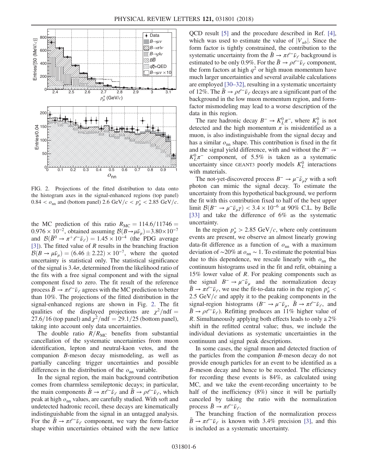<span id="page-5-0"></span>

FIG. 2. Projections of the fitted distribution to data onto the histogram axes in the signal-enhanced regions (top panel)  $0.84 < \rho_{\rm nn}$  and (bottom panel) 2.6 GeV/ $c < p_{\mu}^* < 2.85$  GeV/ $c$ .

the MC prediction of this ratio  $R_{MC} = 114.6/11746 =$  $0.976 \times 10^{-2}$ , obtained assuming  $\mathcal{B}(B \to \mu \bar{\nu}_{\mu}) = 3.80 \times 10^{-7}$ and  $\mathcal{B}(\bar{B}^0 \to \pi^+ \ell^- \bar{\nu}_e) = 1.45 \times 10^{-4}$  (the PDG average [\[3\]](#page-6-3)). The fitted value of R results in the branching fraction  $B(B \to \mu \bar{\nu}_\mu) = (6.46 \pm 2.22) \times 10^{-7}$ , where the quoted uncertainty is statistical only. The statistical significance of the signal is  $3.4\sigma$ , determined from the likelihood ratio of the fits with a free signal component and with the signal component fixed to zero. The fit result of the reference process  $B \to \pi \ell^- \bar{\nu}_{\ell}$  agrees with the MC prediction to better than 10%. The projections of the fitted distribution in the signal-enhanced regions are shown in Fig. [2.](#page-5-0) The fit qualities of the displayed projections are  $\chi^2$ /ndf = 27.6/16 (top panel) and  $\chi^2$ /ndf = 29.1/25 (bottom panel), taking into account only data uncertainties.

The double ratio  $R/R_{MC}$  benefits from substantial cancellation of the systematic uncertainties from muon identification, lepton and neutral-kaon vetos, and the companion B-meson decay mismodeling, as well as partially canceling trigger uncertainties and possible differences in the distribution of the  $o_{nn}$  variable.

In the signal region, the main background contribution comes from charmless semileptonic decays; in particular, the main components  $B \to \pi \ell^- \bar{\nu}_\ell$  and  $B \to \rho \ell^- \bar{\nu}_\ell$ , which peak at high  $o_{nn}$  values, are carefully studied. With soft and undetected hadronic recoil, these decays are kinematically indistinguishable from the signal in an untagged analysis. For the  $\bar{B} \to \pi \ell^- \bar{\nu}_\ell$  component, we vary the form-factor shape within uncertainties obtained with the new lattice QCD result [\[5\]](#page-6-5) and the procedure described in Ref. [\[4\]](#page-6-4), which was used to estimate the value of  $|V_{ub}|$ . Since the form factor is tightly constrained, the contribution to the systematic uncertainty from the  $\bar{B} \to \pi \ell^- \bar{\nu}_\ell$  background is estimated to be only 0.9%. For the  $\bar{B} \to \rho \ell^- \bar{\nu}_\ell$  component, the form factors at high  $q^2$  or high muon momentum have much larger uncertainties and several available calculations are employed [\[30](#page-7-8)–32], resulting in a systematic uncertainty of 12%. The  $\bar{B} \to \rho \ell^- \bar{\nu}_{\ell}$  decays are a significant part of the background in the low muon momentum region, and formfactor mismodeling may lead to a worse description of the data in this region.

The rare hadronic decay  $B^- \to K^0_L \pi^-$ , where  $K^0_L$  is not detected and the high momentum  $\pi$  is misidentified as a muon, is also indistinguishable from the signal decay and has a similar  $o_{nn}$  shape. This contribution is fixed in the fit and the signal yield difference, with and without the  $B^- \rightarrow$  $K_L^0 \pi^-$  component, of 5.5% is taken as a systematic uncertainty since GEANT3 poorly models  $K<sub>L</sub><sup>0</sup>$  interactions with materials.

The not-yet-discovered process  $B^- \to \mu^- \bar{\nu}_{\mu} \gamma$  with a soft photon can mimic the signal decay. To estimate the uncertainty from this hypothetical background, we perform the fit with this contribution fixed to half of the best upper limit  $\mathcal{B}(B^- \to \mu^- \bar{\nu}_\mu \gamma) < 3.4 \times 10^{-6}$  at 90% C.L. by Belle [\[33\]](#page-7-9) and take the difference of 6% as the systematic uncertainty.

In the region  $p^*_{\mu} > 2.85 \text{ GeV}/c$ , where only continuum events are present, we observe an almost linearly growing data-fit difference as a function of  $o_{nn}$  with a maximum deviation of ~20% at  $o_{nn}$  ~ 1. To estimate the potential bias due to this dependence, we rescale linearly with  $o_{nn}$  the continuum histograms used in the fit and refit, obtaining a 15% lower value of R. For peaking components such as the signal  $B^- \to \mu^- \bar{\nu}_\mu$  and the normalization decay  $\bar{B} \to \pi \ell^- \bar{\nu}_\ell$ , we use the fit-to-data ratio in the region  $p^*_{\mu}$  < 2.5 GeV/ $c$  and apply it to the peaking components in the signal-region histograms  $(B^- \to \mu^- \bar{\nu}_\mu, \bar{B} \to \pi \ell^- \bar{\nu}_\ell,$  and  $\bar{B} \to \rho \ell^- \bar{\nu}_\ell$ ). Refitting produces an 11% higher value of R. Simultaneously applying both effects leads to only a 2% shift in the refitted central value; thus, we include the individual deviations as systematic uncertainties in the continuum and signal peak descriptions.

In some cases, the signal muon and detected fraction of the particles from the companion B-meson decay do not provide enough particles for an event to be identified as a B-meson decay and hence to be recorded. The efficiency for recording these events is 84%, as calculated using MC, and we take the event-recording uncertainty to be half of the inefficiency (8%) since it will be partially canceled by taking the ratio with the normalization process  $\bar{B} \to \pi \ell^- \bar{\nu}_\ell$ .

The branching fraction of the normalization process  $\bar{B} \to \pi \ell^- \bar{\nu}_\ell$  is known with 3.4% precision [\[3\],](#page-6-3) and this is included as a systematic uncertainty.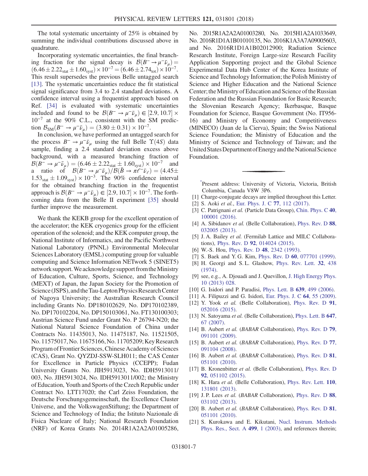The total systematic uncertainty of 25% is obtained by summing the individual contributions discussed above in quadrature.

Incorporating systematic uncertainties, the final branching fraction for the signal decay is  $\mathcal{B}(B^- \to \mu^- \bar{\nu}_\mu)$  $(6.46 \pm 2.22<sub>stat</sub> \pm 1.60<sub>syst</sub>) \times 10<sup>-7</sup> = (6.46 \pm 2.74<sub>tot</sub>) \times 10<sup>-7</sup>.$ This result supersedes the previous Belle untagged search [\[13\]](#page-6-17). The systematic uncertainties reduce the fit statistical signal significance from 3.4 to 2.4 standard deviations. A confidence interval using a frequentist approach based on Ref. [\[34\]](#page-7-10) is evaluated with systematic uncertainties included and found to be  $\mathcal{B}(B^- \to \mu^- \bar{\nu}_\mu) \in [2.9, 10.7] \times$ 10<sup>−</sup><sup>7</sup> at the 90% C.L., consistent with the SM prediction  $B_{\text{SM}}(B^- \to \mu^- \bar{\nu}_\mu) = (3.80 \pm 0.31) \times 10^{-7}$ .

In conclusion, we have performed an untagged search for the process  $B^- \to \mu^- \bar{\nu}_\mu$  using the full Belle  $\Upsilon(4S)$  data sample, finding a 2.4 standard deviation excess above background, with a measured branching fraction of  $\mathcal{B}(B^- \to \mu^- \bar{\nu}_\mu) = (6.46 \pm 2.22_{\text{stat}} \pm 1.60_{\text{syst}}) \times 10^{-7}$  and a ratio of  $\mathcal{B}(B^- \to \mu^- \bar{\nu}_\mu)/\mathcal{B}(\bar{B} \to \pi \ell^- \bar{\nu}_\ell) = (4.45 \pm 1)$  $1.53<sub>stat</sub> \pm 1.09<sub>syst</sub> \times 10<sup>-3</sup>$ . The 90% confidence interval for the obtained branching fraction in the frequentist approach is  $\mathcal{B}(B^- \to \mu^- \bar{\nu}_\mu) \in [2.9, 10.7] \times 10^{-7}$ . The forthcoming data from the Belle II experiment [\[35\]](#page-7-11) should further improve the measurement.

We thank the KEKB group for the excellent operation of the accelerator; the KEK cryogenics group for the efficient operation of the solenoid; and the KEK computer group, the National Institute of Informatics, and the Pacific Northwest National Laboratory (PNNL) Environmental Molecular Sciences Laboratory (EMSL) computing group for valuable computing and Science Information NETwork 5 (SINET5) network support. We acknowledge support from the Ministry of Education, Culture, Sports, Science, and Technology (MEXT) of Japan, the Japan Society for the Promotion of Science (JSPS), and the Tau-Lepton Physics Research Center of Nagoya University; the Australian Research Council including Grants No. DP180102629, No. DP170102389, No. DP170102204, No. DP150103061, No. FT130100303; Austrian Science Fund under Grant No. P 26794-N20; the National Natural Science Foundation of China under Contracts No. 11435013, No. 11475187, No. 11521505, No. 11575017, No. 11675166, No. 11705209; KeyResearch Program of Frontier Sciences, Chinese Academy of Sciences (CAS), Grant No. QYZDJ-SSW-SLH011; the CAS Center for Excellence in Particle Physics (CCEPP); Fudan University Grants No. JIH5913023, No. IDH5913011/ 003, No. JIH5913024, No. IDH5913011/002; the Ministry of Education, Youth and Sports of the Czech Republic under Contract No. LTT17020; the Carl Zeiss Foundation, the Deutsche Forschungsgemeinschaft, the Excellence Cluster Universe, and the VolkswagenStiftung; the Department of Science and Technology of India; the Istituto Nazionale di Fisica Nucleare of Italy; National Research Foundation (NRF) of Korea Grants No. 2014R1A2A2A01005286, No. 2015R1A2A2A01003280, No. 2015H1A2A1033649, No. 2016R1D1A1B01010135, No. 2016K1A3A7A09005603, and No. 2016R1D1A1B02012900; Radiation Science Research Institute, Foreign Large-size Research Facility Application Supporting project and the Global Science Experimental Data Hub Center of the Korea Institute of Science and Technology Information; the Polish Ministry of Science and Higher Education and the National Science Center; the Ministry of Education and Science of the Russian Federation and the Russian Foundation for Basic Research; the Slovenian Research Agency; Ikerbasque, Basque Foundation for Science, Basque Government (No. IT956- 16) and Ministry of Economy and Competitiveness (MINECO) (Juan de la Cierva), Spain; the Swiss National Science Foundation; the Ministry of Education and the Ministry of Science and Technology of Taiwan; and the United States Department of Energy and the National Science Foundation.

<span id="page-6-0"></span>[\\*](#page-0-0) Present address: University of Victoria, Victoria, British Columbia, Canada V8W 3P6.

- <span id="page-6-2"></span><span id="page-6-1"></span>[1] Charge-conjugate decays are implied throughout this Letter.
- <span id="page-6-3"></span>[2] S. Aoki et al., [Eur. Phys. J. C](https://doi.org/10.1140/epjc/s10052-016-4509-7) 77, 112 (2017).
- <span id="page-6-4"></span>[3] C. Patrignani et al. (Particle Data Group), [Chin. Phys. C](https://doi.org/10.1088/1674-1137/40/10/100001) 40, [100001 \(2016\).](https://doi.org/10.1088/1674-1137/40/10/100001)
- <span id="page-6-5"></span>[4] A. Sibidanov et al. (Belle Collaboration), [Phys. Rev. D](https://doi.org/10.1103/PhysRevD.88.032005) 88, [032005 \(2013\).](https://doi.org/10.1103/PhysRevD.88.032005)
- <span id="page-6-6"></span>[5] J. A. Bailey et al. (Fermilab Lattice and MILC Collaborations), Phys. Rev. D 92[, 014024 \(2015\).](https://doi.org/10.1103/PhysRevD.92.014024)
- <span id="page-6-7"></span>[6] W.-S. Hou, *Phys. Rev. D* **48**[, 2342 \(1993\).](https://doi.org/10.1103/PhysRevD.48.2342)
- <span id="page-6-8"></span>[7] S. Baek and Y. G. Kim, Phys. Rev. D 60[, 077701 \(1999\)](https://doi.org/10.1103/PhysRevD.60.077701).
- <span id="page-6-9"></span>[8] H. Georgi and S.L. Glashow, [Phys. Rev. Lett.](https://doi.org/10.1103/PhysRevLett.32.438) 32, 438 [\(1974\).](https://doi.org/10.1103/PhysRevLett.32.438)
- <span id="page-6-10"></span>[9] see, e.g., A. Djouadi and J. Quevillon, [J. High Energy Phys.](https://doi.org/10.1007/JHEP10(2013)028) [10 \(2013\) 028.](https://doi.org/10.1007/JHEP10(2013)028)
- <span id="page-6-11"></span>[10] G. Isidori and P. Paradisi, [Phys. Lett. B](https://doi.org/10.1016/j.physletb.2006.06.071) 639, 499 (2006).
- <span id="page-6-12"></span>[11] A. Filipuzzi and G. Isidori, [Eur. Phys. J. C](https://doi.org/10.1140/epjc/s10052-009-1130-z) 64, 55 (2009).
- <span id="page-6-17"></span>[12] Y. Yook et al. (Belle Collaboration), [Phys. Rev. D](https://doi.org/10.1103/PhysRevD.91.052016) 91, [052016 \(2015\).](https://doi.org/10.1103/PhysRevD.91.052016)
- <span id="page-6-13"></span>[13] N. Satoyama et al. (Belle Collaboration), [Phys. Lett. B](https://doi.org/10.1016/j.physletb.2007.01.068) 647, [67 \(2007\).](https://doi.org/10.1016/j.physletb.2007.01.068)
- [14] B. Aubert et al. (BABAR Collaboration), [Phys. Rev. D](https://doi.org/10.1103/PhysRevD.79.091101) 79, [091101 \(2009\).](https://doi.org/10.1103/PhysRevD.79.091101)
- [15] B. Aubert et al. (BABAR Collaboration), [Phys. Rev. D](https://doi.org/10.1103/PhysRevD.77.091104) 77, [091104 \(2008\).](https://doi.org/10.1103/PhysRevD.77.091104)
- <span id="page-6-14"></span>[16] B. Aubert et al. (BABAR Collaboration), [Phys. Rev. D](https://doi.org/10.1103/PhysRevD.81.051101) 81, [051101 \(2010\).](https://doi.org/10.1103/PhysRevD.81.051101)
- [17] B. Kronenbitter et al. (Belle Collaboration), [Phys. Rev. D](https://doi.org/10.1103/PhysRevD.92.051102) 92[, 051102 \(2015\).](https://doi.org/10.1103/PhysRevD.92.051102)
- <span id="page-6-15"></span>[18] K. Hara et al. (Belle Collaboration), [Phys. Rev. Lett.](https://doi.org/10.1103/PhysRevLett.110.131801) 110, [131801 \(2013\).](https://doi.org/10.1103/PhysRevLett.110.131801)
- [19] J. P. Lees et al. (BABAR Collaboration), [Phys. Rev. D](https://doi.org/10.1103/PhysRevD.88.031102) 88, [031102 \(2013\).](https://doi.org/10.1103/PhysRevD.88.031102)
- <span id="page-6-16"></span>[20] B. Aubert et al. (BABAR Collaboration), [Phys. Rev. D](https://doi.org/10.1103/PhysRevD.81.051101) 81, [051101 \(2010\).](https://doi.org/10.1103/PhysRevD.81.051101)
- [21] S. Kurokawa and E. Kikutani, [Nucl. Instrum. Methods](https://doi.org/10.1016/S0168-9002(02)01771-0) [Phys. Res., Sect. A](https://doi.org/10.1016/S0168-9002(02)01771-0) 499, 1 (2003), and references therein;